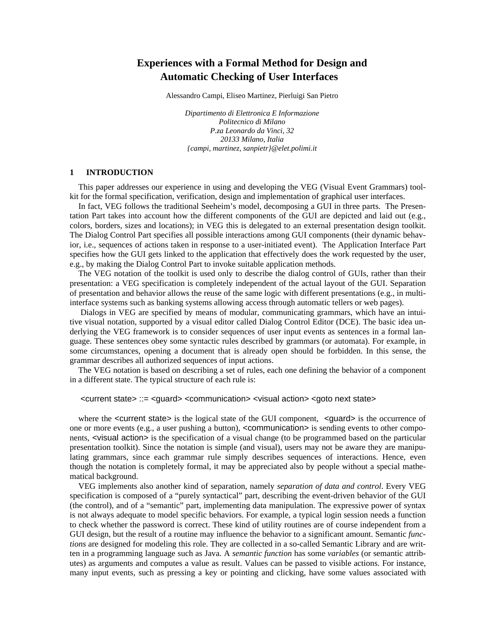# **Experiences with a Formal Method for Design and Automatic Checking of User Interfaces**

Alessandro Campi, Eliseo Martinez, Pierluigi San Pietro

*Dipartimento di Elettronica E Informazione Politecnico di Milano P.za Leonardo da Vinci, 32 20133 Milano, Italia {campi, martinez, sanpietr}@elet.polimi.it*

## **1 INTRODUCTION**

This paper addresses our experience in using and developing the VEG (Visual Event Grammars) toolkit for the formal specification, verification, design and implementation of graphical user interfaces.

In fact, VEG follows the traditional Seeheim's model, decomposing a GUI in three parts. The Presentation Part takes into account how the different components of the GUI are depicted and laid out (e.g., colors, borders, sizes and locations); in VEG this is delegated to an external presentation design toolkit. The Dialog Control Part specifies all possible interactions among GUI components (their dynamic behavior, i.e., sequences of actions taken in response to a user-initiated event). The Application Interface Part specifies how the GUI gets linked to the application that effectively does the work requested by the user, e.g., by making the Dialog Control Part to invoke suitable application methods.

The VEG notation of the toolkit is used only to describe the dialog control of GUIs, rather than their presentation: a VEG specification is completely independent of the actual layout of the GUI. Separation of presentation and behavior allows the reuse of the same logic with different presentations (e.g., in multiinterface systems such as banking systems allowing access through automatic tellers or web pages).

 Dialogs in VEG are specified by means of modular, communicating grammars, which have an intuitive visual notation, supported by a visual editor called Dialog Control Editor (DCE). The basic idea underlying the VEG framework is to consider sequences of user input events as sentences in a formal language. These sentences obey some syntactic rules described by grammars (or automata). For example, in some circumstances, opening a document that is already open should be forbidden. In this sense, the grammar describes all authorized sequences of input actions.

The VEG notation is based on describing a set of rules, each one defining the behavior of a component in a different state. The typical structure of each rule is:

<current state> ::= <guard> <communication> <visual action> <goto next state>

where the  $\leq$  current state is the logical state of the GUI component,  $\leq$  guard is the occurrence of one or more events (e.g., a user pushing a button), <communication> is sending events to other components, <visual action> is the specification of a visual change (to be programmed based on the particular presentation toolkit). Since the notation is simple (and visual), users may not be aware they are manipulating grammars, since each grammar rule simply describes sequences of interactions. Hence, even though the notation is completely formal, it may be appreciated also by people without a special mathematical background.

VEG implements also another kind of separation, namely *separation of data and control*. Every VEG specification is composed of a "purely syntactical" part, describing the event-driven behavior of the GUI (the control), and of a "semantic" part, implementing data manipulation. The expressive power of syntax is not always adequate to model specific behaviors. For example, a typical login session needs a function to check whether the password is correct. These kind of utility routines are of course independent from a GUI design, but the result of a routine may influence the behavior to a significant amount. Semantic *functions* are designed for modeling this role. They are collected in a so-called Semantic Library and are written in a programming language such as Java. A *semantic function* has some *variables* (or semantic attributes) as arguments and computes a value as result. Values can be passed to visible actions. For instance, many input events, such as pressing a key or pointing and clicking, have some values associated with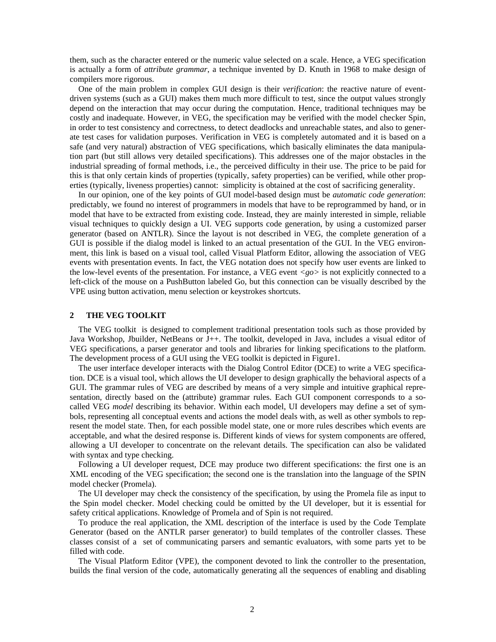them, such as the character entered or the numeric value selected on a scale. Hence, a VEG specification is actually a form of *attribute grammar*, a technique invented by D. Knuth in 1968 to make design of compilers more rigorous.

One of the main problem in complex GUI design is their *verification*: the reactive nature of eventdriven systems (such as a GUI) makes them much more difficult to test, since the output values strongly depend on the interaction that may occur during the computation. Hence, traditional techniques may be costly and inadequate. However, in VEG, the specification may be verified with the model checker Spin, in order to test consistency and correctness, to detect deadlocks and unreachable states, and also to generate test cases for validation purposes. Verification in VEG is completely automated and it is based on a safe (and very natural) abstraction of VEG specifications, which basically eliminates the data manipulation part (but still allows very detailed specifications). This addresses one of the major obstacles in the industrial spreading of formal methods, i.e., the perceived difficulty in their use. The price to be paid for this is that only certain kinds of properties (typically, safety properties) can be verified, while other properties (typically, liveness properties) cannot: simplicity is obtained at the cost of sacrificing generality.

In our opinion, one of the key points of GUI model-based design must be *automatic code generation*: predictably, we found no interest of programmers in models that have to be reprogrammed by hand, or in model that have to be extracted from existing code. Instead, they are mainly interested in simple, reliable visual techniques to quickly design a UI. VEG supports code generation, by using a customized parser generator (based on ANTLR). Since the layout is not described in VEG, the complete generation of a GUI is possible if the dialog model is linked to an actual presentation of the GUI. In the VEG environment, this link is based on a visual tool, called Visual Platform Editor, allowing the association of VEG events with presentation events. In fact, the VEG notation does not specify how user events are linked to the low-level events of the presentation. For instance, a VEG event *<go>* is not explicitly connected to a left-click of the mouse on a PushButton labeled Go, but this connection can be visually described by the VPE using button activation, menu selection or keystrokes shortcuts.

## **2 THE VEG TOOLKIT**

The VEG toolkit is designed to complement traditional presentation tools such as those provided by Java Workshop, Jbuilder, NetBeans or J++. The toolkit, developed in Java, includes a visual editor of VEG specifications, a parser generator and tools and libraries for linking specifications to the platform. The development process of a GUI using the VEG toolkit is depicted in Figure1.

The user interface developer interacts with the Dialog Control Editor (DCE) to write a VEG specification. DCE is a visual tool, which allows the UI developer to design graphically the behavioral aspects of a GUI. The grammar rules of VEG are described by means of a very simple and intuitive graphical representation, directly based on the (attribute) grammar rules. Each GUI component corresponds to a socalled VEG *model* describing its behavior. Within each model, UI developers may define a set of symbols, representing all conceptual events and actions the model deals with, as well as other symbols to represent the model state. Then, for each possible model state, one or more rules describes which events are acceptable, and what the desired response is. Different kinds of views for system components are offered, allowing a UI developer to concentrate on the relevant details. The specification can also be validated with syntax and type checking.

Following a UI developer request, DCE may produce two different specifications: the first one is an XML encoding of the VEG specification; the second one is the translation into the language of the SPIN model checker (Promela).

The UI developer may check the consistency of the specification, by using the Promela file as input to the Spin model checker. Model checking could be omitted by the UI developer, but it is essential for safety critical applications. Knowledge of Promela and of Spin is not required.

To produce the real application, the XML description of the interface is used by the Code Template Generator (based on the ANTLR parser generator) to build templates of the controller classes. These classes consist of a set of communicating parsers and semantic evaluators, with some parts yet to be filled with code.

The Visual Platform Editor (VPE), the component devoted to link the controller to the presentation, builds the final version of the code, automatically generating all the sequences of enabling and disabling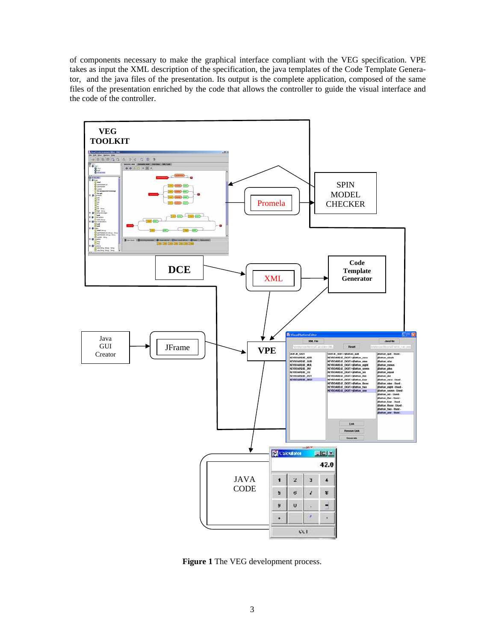of components necessary to make the graphical interface compliant with the VEG specification. VPE takes as input the XML description of the specification, the java templates of the Code Template Generator, and the java files of the presentation. Its output is the complete application, composed of the same files of the presentation enriched by the code that allows the controller to guide the visual interface and the code of the controller.



**Figure 1** The VEG development process.